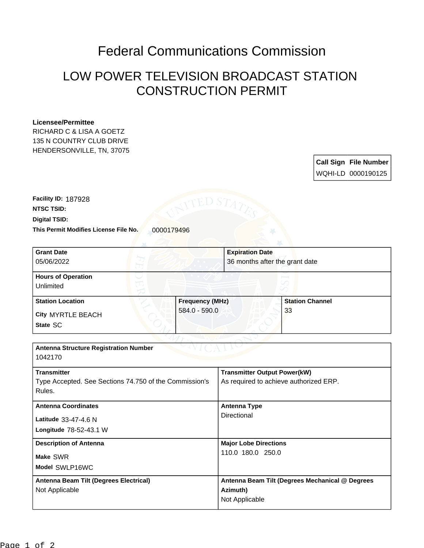## Federal Communications Commission

## LOW POWER TELEVISION BROADCAST STATION CONSTRUCTION PERMIT

## **Licensee/Permittee**

RICHARD C & LISA A GOETZ 135 N COUNTRY CLUB DRIVE HENDERSONVILLE, TN, 37075

> **Call Sign File Number** WQHI-LD 0000190125

This Permit Modifies License File No. 0000179496 **Digital TSID: NTSC TSID: Facility ID:** 187928

| <b>Grant Date</b><br>05/06/2022<br><b>Hours of Operation</b> | <b>Expiration Date</b>                          |                                |  |
|--------------------------------------------------------------|-------------------------------------------------|--------------------------------|--|
|                                                              |                                                 |                                |  |
|                                                              |                                                 | 36 months after the grant date |  |
|                                                              |                                                 |                                |  |
| Unlimited                                                    |                                                 |                                |  |
| <b>Station Location</b><br><b>Frequency (MHz)</b>            |                                                 | <b>Station Channel</b>         |  |
| 584.0 - 590.0<br><b>City MYRTLE BEACH</b>                    |                                                 | 33                             |  |
| State SC                                                     |                                                 |                                |  |
|                                                              |                                                 |                                |  |
| <b>Antenna Structure Registration Number</b>                 |                                                 |                                |  |
| 1042170                                                      |                                                 |                                |  |
| <b>Transmitter</b>                                           | <b>Transmitter Output Power(kW)</b>             |                                |  |
| Type Accepted. See Sections 74.750 of the Commission's       | As required to achieve authorized ERP.          |                                |  |
| Rules.                                                       |                                                 |                                |  |
| <b>Antenna Coordinates</b>                                   | <b>Antenna Type</b>                             |                                |  |
| Latitude 33-47-4.6 N                                         | <b>Directional</b>                              |                                |  |
| Longitude 78-52-43.1 W                                       |                                                 |                                |  |
| <b>Description of Antenna</b>                                | <b>Major Lobe Directions</b>                    |                                |  |
| Make SWR                                                     | 110.0 180.0 250.0                               |                                |  |
| Model SWLP16WC                                               |                                                 |                                |  |
| Antenna Beam Tilt (Degrees Electrical)                       | Antenna Beam Tilt (Degrees Mechanical @ Degrees |                                |  |
| Not Applicable                                               | Azimuth)                                        |                                |  |
|                                                              | Not Applicable                                  |                                |  |